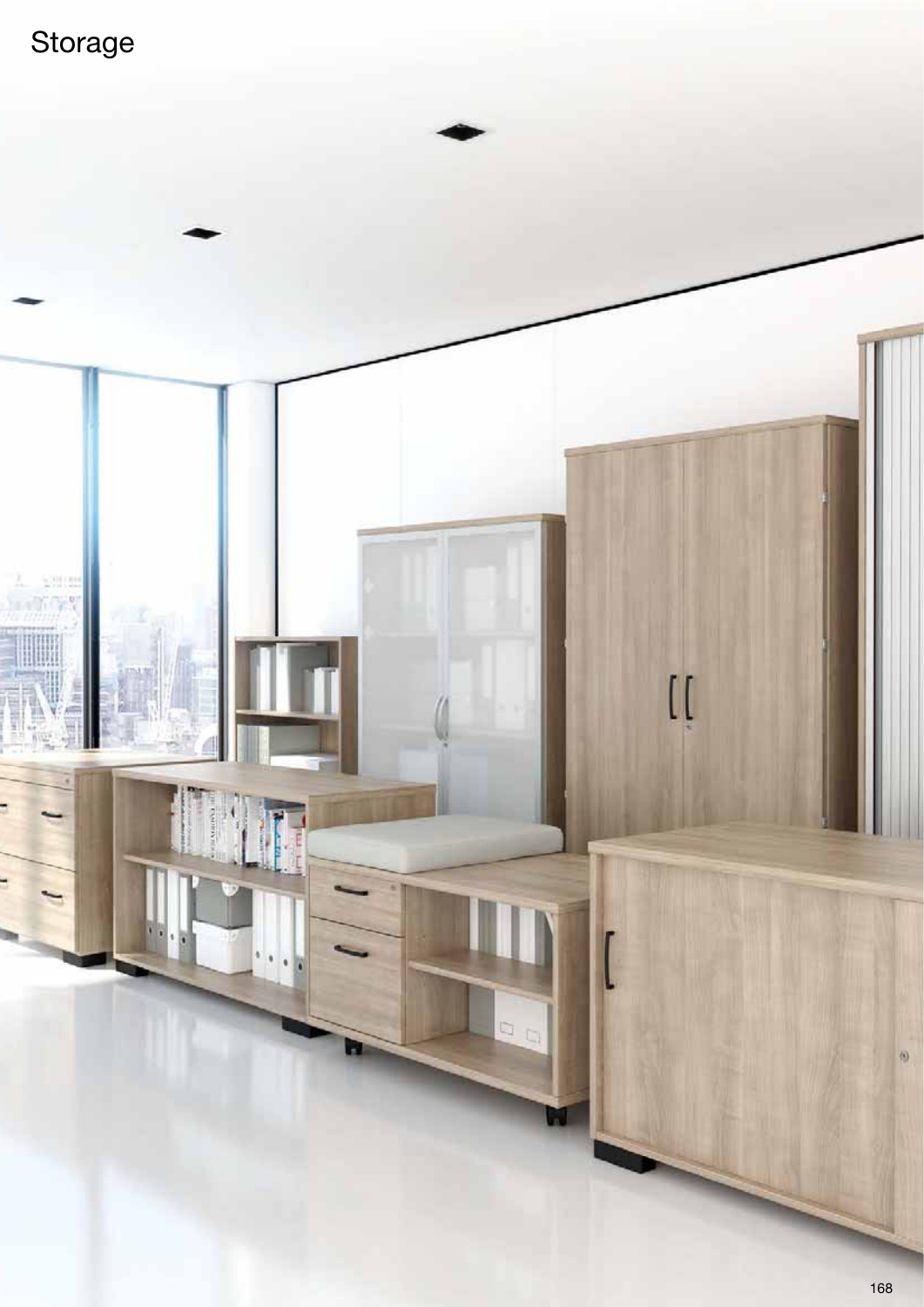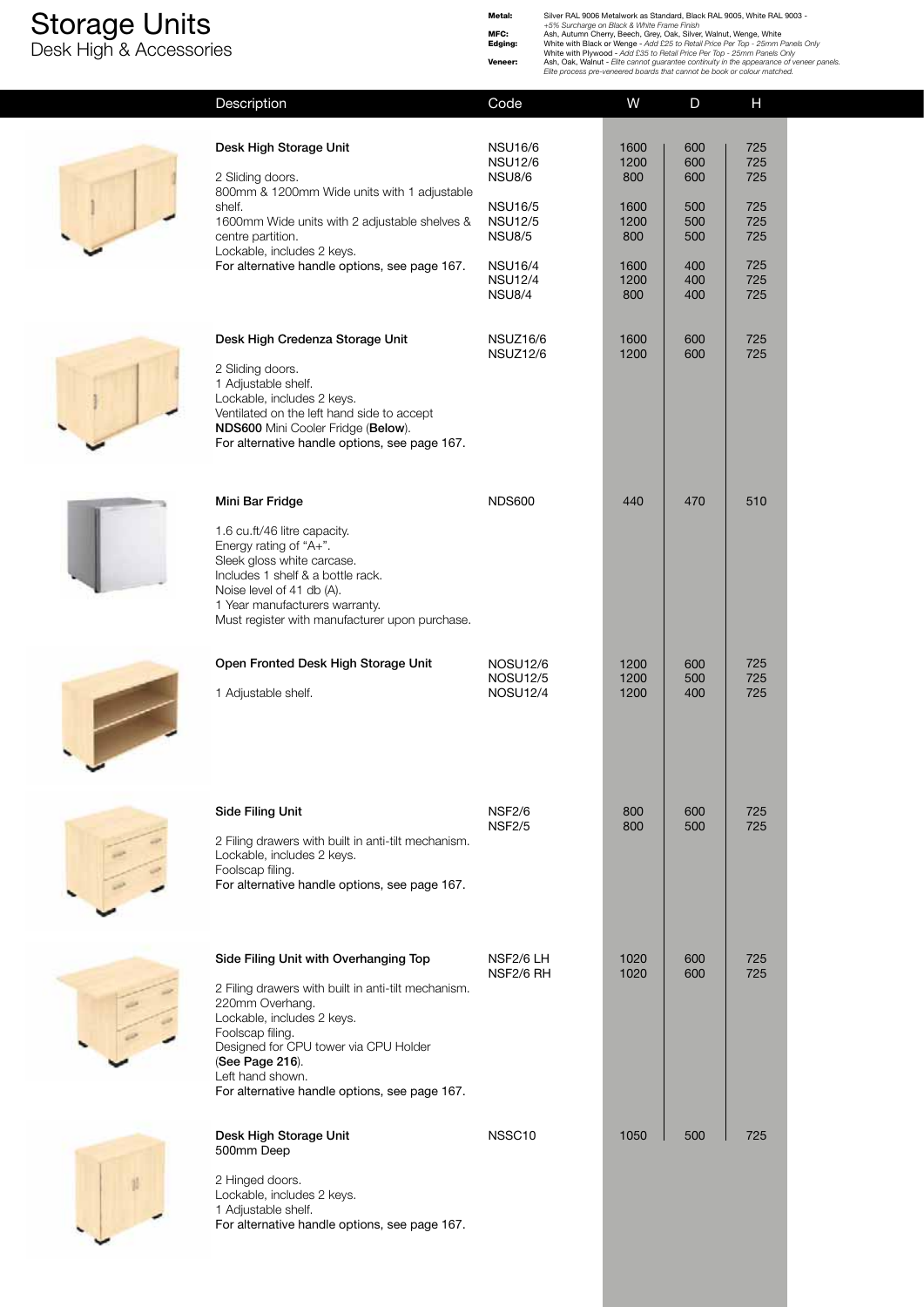Desk High & Accessories

**Metal:** Silver RAL 9006 Metalwork as Standard, Black RAL 9005, White RAL 9003 -<br>
+5% Surcharge on Black & White Frame Finish<br> **Edging:** Ash, Autumn Cherry, Beech, Grey, Oak, Silver, Walnut, Wenge, White<br> **Edging:** White w

| Description                                                                                                                                                                                                                                                                                        | Code                                                                                                                                                        | W                                                                 | D                                                           | H                                                           |  |
|----------------------------------------------------------------------------------------------------------------------------------------------------------------------------------------------------------------------------------------------------------------------------------------------------|-------------------------------------------------------------------------------------------------------------------------------------------------------------|-------------------------------------------------------------------|-------------------------------------------------------------|-------------------------------------------------------------|--|
| Desk High Storage Unit<br>2 Sliding doors.<br>800mm & 1200mm Wide units with 1 adjustable<br>shelf.<br>1600mm Wide units with 2 adjustable shelves &<br>centre partition.<br>Lockable, includes 2 keys.<br>For alternative handle options, see page 167.                                           | <b>NSU16/6</b><br><b>NSU12/6</b><br><b>NSU8/6</b><br><b>NSU16/5</b><br><b>NSU12/5</b><br><b>NSU8/5</b><br><b>NSU16/4</b><br><b>NSU12/4</b><br><b>NSU8/4</b> | 1600<br>1200<br>800<br>1600<br>1200<br>800<br>1600<br>1200<br>800 | 600<br>600<br>600<br>500<br>500<br>500<br>400<br>400<br>400 | 725<br>725<br>725<br>725<br>725<br>725<br>725<br>725<br>725 |  |
| Desk High Credenza Storage Unit<br>2 Sliding doors.<br>1 Adjustable shelf.<br>Lockable, includes 2 keys.<br>Ventilated on the left hand side to accept<br>NDS600 Mini Cooler Fridge (Below).<br>For alternative handle options, see page 167.                                                      | NSUZ16/6<br>NSUZ12/6                                                                                                                                        | 1600<br>1200                                                      | 600<br>600                                                  | 725<br>725                                                  |  |
| Mini Bar Fridge<br>1.6 cu.ft/46 litre capacity.<br>Energy rating of "A+".<br>Sleek gloss white carcase.<br>Includes 1 shelf & a bottle rack.<br>Noise level of 41 db (A).<br>1 Year manufacturers warranty.<br>Must register with manufacturer upon purchase.                                      | <b>NDS600</b>                                                                                                                                               | 440                                                               | 470                                                         | 510                                                         |  |
| Open Fronted Desk High Storage Unit<br>1 Adjustable shelf.                                                                                                                                                                                                                                         | <b>NOSU12/6</b><br><b>NOSU12/5</b><br><b>NOSU12/4</b>                                                                                                       | 1200<br>1200<br>1200                                              | 600<br>500<br>400                                           | 725<br>725<br>725                                           |  |
| Side Filing Unit<br>2 Filing drawers with built in anti-tilt mechanism.<br>Lockable, includes 2 keys.<br>Foolscap filing.<br>For alternative handle options, see page 167.                                                                                                                         | <b>NSF2/6</b><br><b>NSF2/5</b>                                                                                                                              | 800<br>800                                                        | 600<br>500                                                  | 725<br>725                                                  |  |
| Side Filing Unit with Overhanging Top<br>2 Filing drawers with built in anti-tilt mechanism.<br>220mm Overhang.<br>Lockable, includes 2 keys.<br>Foolscap filing.<br>Designed for CPU tower via CPU Holder<br>(See Page 216).<br>Left hand shown.<br>For alternative handle options, see page 167. | NSF2/6 LH<br>NSF2/6 RH                                                                                                                                      | 1020<br>1020                                                      | 600<br>600                                                  | 725<br>725                                                  |  |
| Desk High Storage Unit<br>500mm Deep<br>2 Hinged doors.<br>Lockable, includes 2 keys.<br>1 Adjustable shelf.<br>For alternative handle options, see page 167.                                                                                                                                      | NSSC <sub>10</sub>                                                                                                                                          | 1050                                                              | 500                                                         | 725                                                         |  |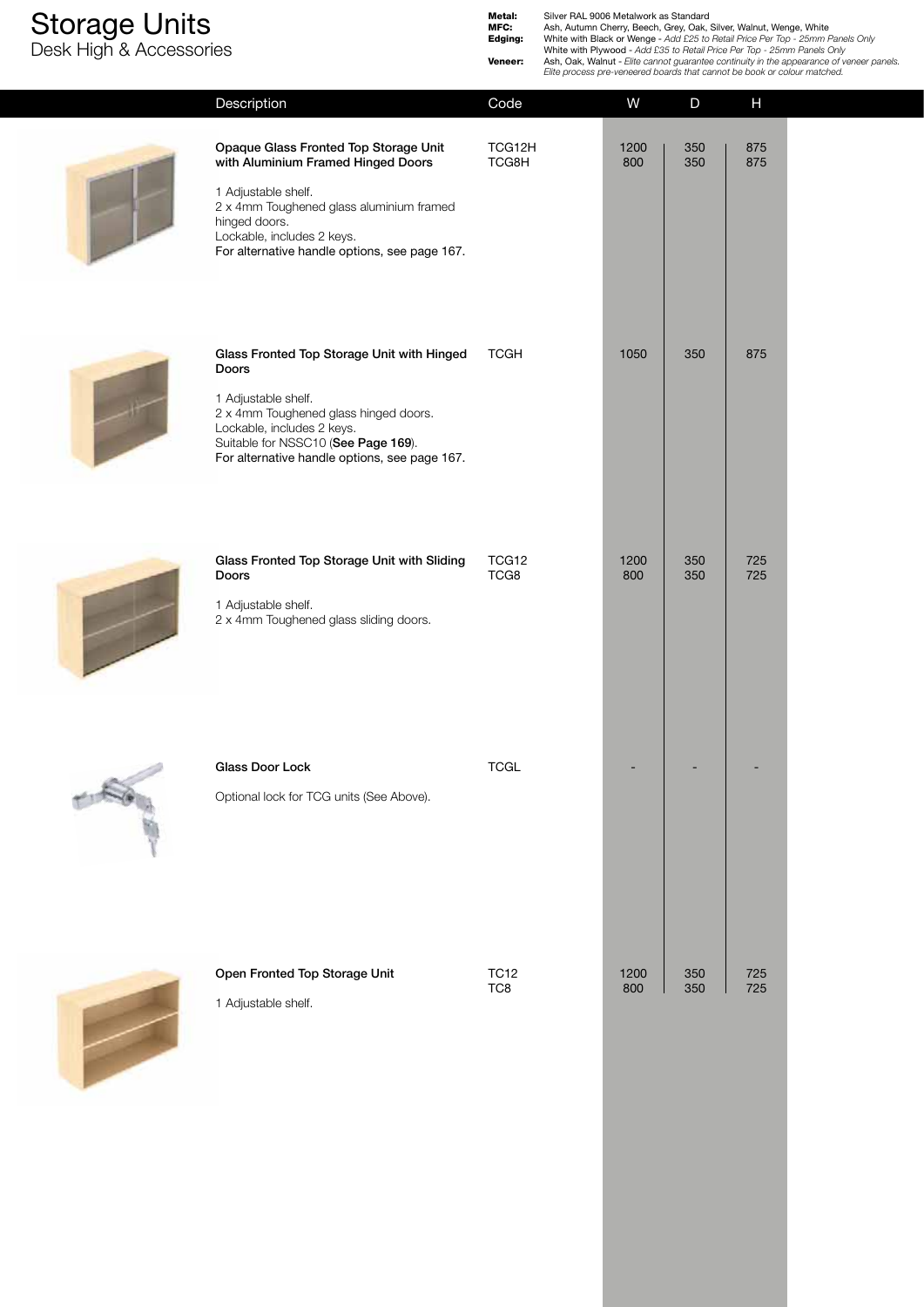**T** 

Desk High & Accessories

**Metal:** Silver RAL 9006 Metalwork as Standard<br> **MFC:** Ash, Autumn Cherry, Beech, Grey, Oak, Silver, Walnut, Wenge, White<br> **Edging:** White with Black or Wenge - Add £25 to Retail Price Per Top - 25mm Panels Only<br>
White wit

|                                                                                                                                                                                                                                                | Elite process pre-veneered boards that cannot be book or colour matched. |             |              |              |  |  |
|------------------------------------------------------------------------------------------------------------------------------------------------------------------------------------------------------------------------------------------------|--------------------------------------------------------------------------|-------------|--------------|--------------|--|--|
| Description                                                                                                                                                                                                                                    | Code                                                                     | W           | $\mathsf{D}$ | $\mathsf{H}$ |  |  |
| Opaque Glass Fronted Top Storage Unit<br>with Aluminium Framed Hinged Doors<br>1 Adjustable shelf.<br>2 x 4mm Toughened glass aluminium framed<br>hinged doors.<br>Lockable, includes 2 keys.<br>For alternative handle options, see page 167. | TCG12H<br>TCG8H                                                          | 1200<br>800 | 350<br>350   | 875<br>875   |  |  |
| Glass Fronted Top Storage Unit with Hinged<br>Doors<br>1 Adjustable shelf.<br>2 x 4mm Toughened glass hinged doors.<br>Lockable, includes 2 keys.<br>Suitable for NSSC10 (See Page 169).<br>For alternative handle options, see page 167.      | <b>TCGH</b>                                                              | 1050        | 350          | 875          |  |  |
| Glass Fronted Top Storage Unit with Sliding<br>Doors<br>1 Adjustable shelf.<br>2 x 4mm Toughened glass sliding doors.                                                                                                                          | TCG12<br>TCG8                                                            | 1200<br>800 | 350<br>350   | 725<br>725   |  |  |
| Glass Door Lock<br>Optional lock for TCG units (See Above).                                                                                                                                                                                    | <b>TCGL</b>                                                              |             |              |              |  |  |
| Open Fronted Top Storage Unit<br>1 Adjustable shelf.                                                                                                                                                                                           | <b>TC12</b><br>TC8                                                       | 1200<br>800 | 350<br>350   | 725<br>725   |  |  |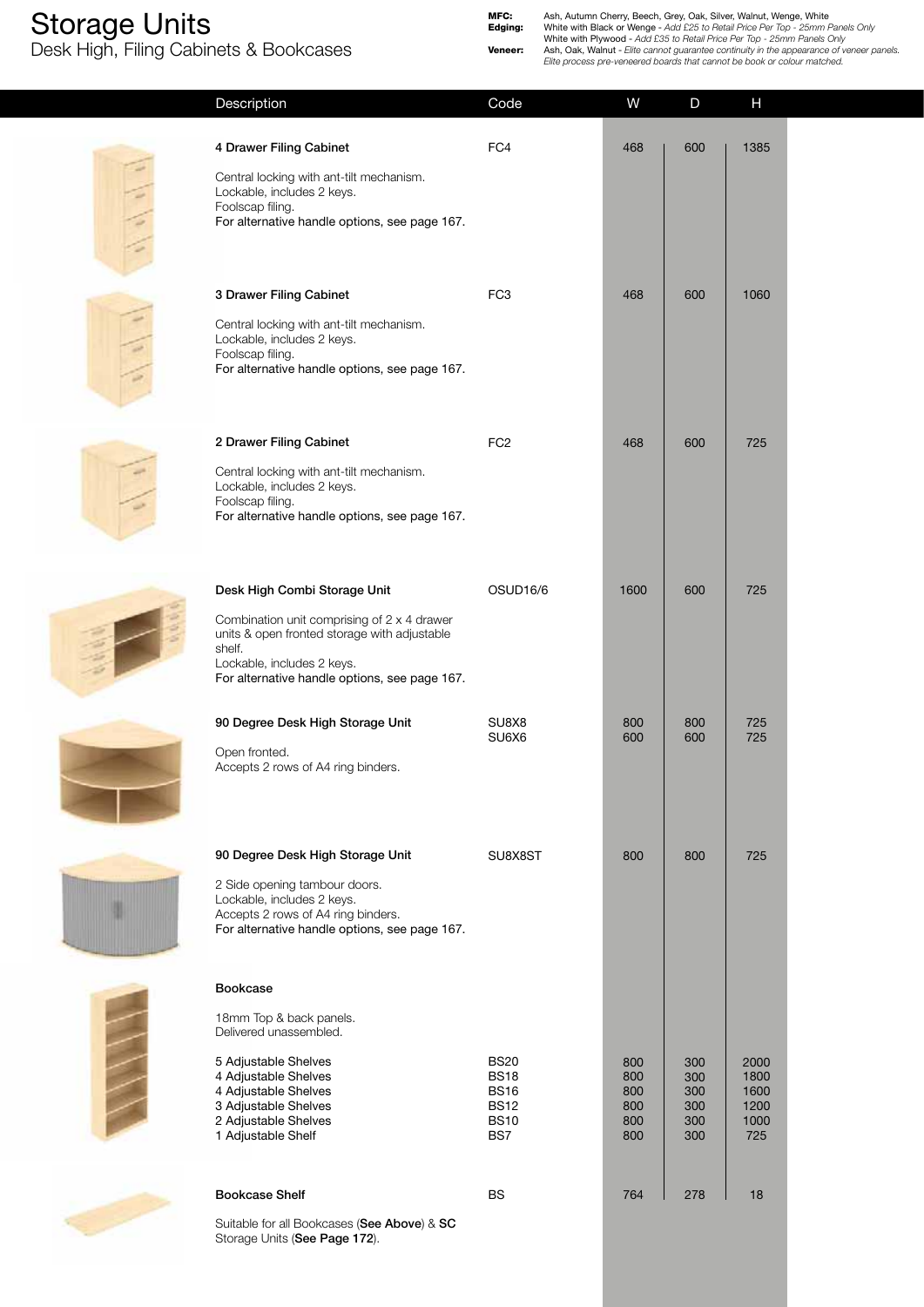$\tilde{\lambda}$ 

Desk High, Filing Cabinets & Bookcases

|                | Description                                                                                                                                                                                                          | Code                                                                           | W                                      | $\mathsf{D}$                           | Н                                           |
|----------------|----------------------------------------------------------------------------------------------------------------------------------------------------------------------------------------------------------------------|--------------------------------------------------------------------------------|----------------------------------------|----------------------------------------|---------------------------------------------|
| <b>Charles</b> | 4 Drawer Filing Cabinet<br>Central locking with ant-tilt mechanism.<br>Lockable, includes 2 keys.<br>Foolscap filing.<br>For alternative handle options, see page 167.                                               | FC4                                                                            | 468                                    | 600                                    | 1385                                        |
|                | 3 Drawer Filing Cabinet<br>Central locking with ant-tilt mechanism.<br>Lockable, includes 2 keys.<br>Foolscap filing.<br>For alternative handle options, see page 167.                                               | FC <sub>3</sub>                                                                | 468                                    | 600                                    | 1060                                        |
|                | 2 Drawer Filing Cabinet<br>Central locking with ant-tilt mechanism.<br>Lockable, includes 2 keys.<br>Foolscap filing.<br>For alternative handle options, see page 167.                                               | FC <sub>2</sub>                                                                | 468                                    | 600                                    | 725                                         |
|                | Desk High Combi Storage Unit<br>Combination unit comprising of 2 x 4 drawer<br>units & open fronted storage with adjustable<br>shelf.<br>Lockable, includes 2 keys.<br>For alternative handle options, see page 167. | OSUD <sub>16</sub> /6                                                          | 1600                                   | 600                                    | 725                                         |
|                | 90 Degree Desk High Storage Unit<br>Open fronted.<br>Accepts 2 rows of A4 ring binders.                                                                                                                              | SU8X8<br>SU6X6                                                                 | 800<br>600                             | 800<br>600                             | 725<br>725                                  |
|                | 90 Degree Desk High Storage Unit<br>2 Side opening tambour doors.<br>Lockable, includes 2 keys.<br>Accepts 2 rows of A4 ring binders.<br>For alternative handle options, see page 167.                               | SU8X8ST                                                                        | 800                                    | 800                                    | 725                                         |
|                | Bookcase<br>18mm Top & back panels.<br>Delivered unassembled.                                                                                                                                                        |                                                                                |                                        |                                        |                                             |
|                | 5 Adjustable Shelves<br>4 Adjustable Shelves<br>4 Adjustable Shelves<br>3 Adjustable Shelves<br>2 Adjustable Shelves<br>1 Adjustable Shelf                                                                           | <b>BS20</b><br><b>BS18</b><br><b>BS16</b><br><b>BS12</b><br><b>BS10</b><br>BS7 | 800<br>800<br>800<br>800<br>800<br>800 | 300<br>300<br>300<br>300<br>300<br>300 | 2000<br>1800<br>1600<br>1200<br>1000<br>725 |
|                | <b>Bookcase Shelf</b>                                                                                                                                                                                                | <b>BS</b>                                                                      | 764                                    | 278                                    | 18                                          |
|                | Suitable for all Bookcases (See Above) & SC                                                                                                                                                                          |                                                                                |                                        |                                        |                                             |

Suitable for all Bookcases (**See Above**) & **SC**  Storage Units (**See Page 172**).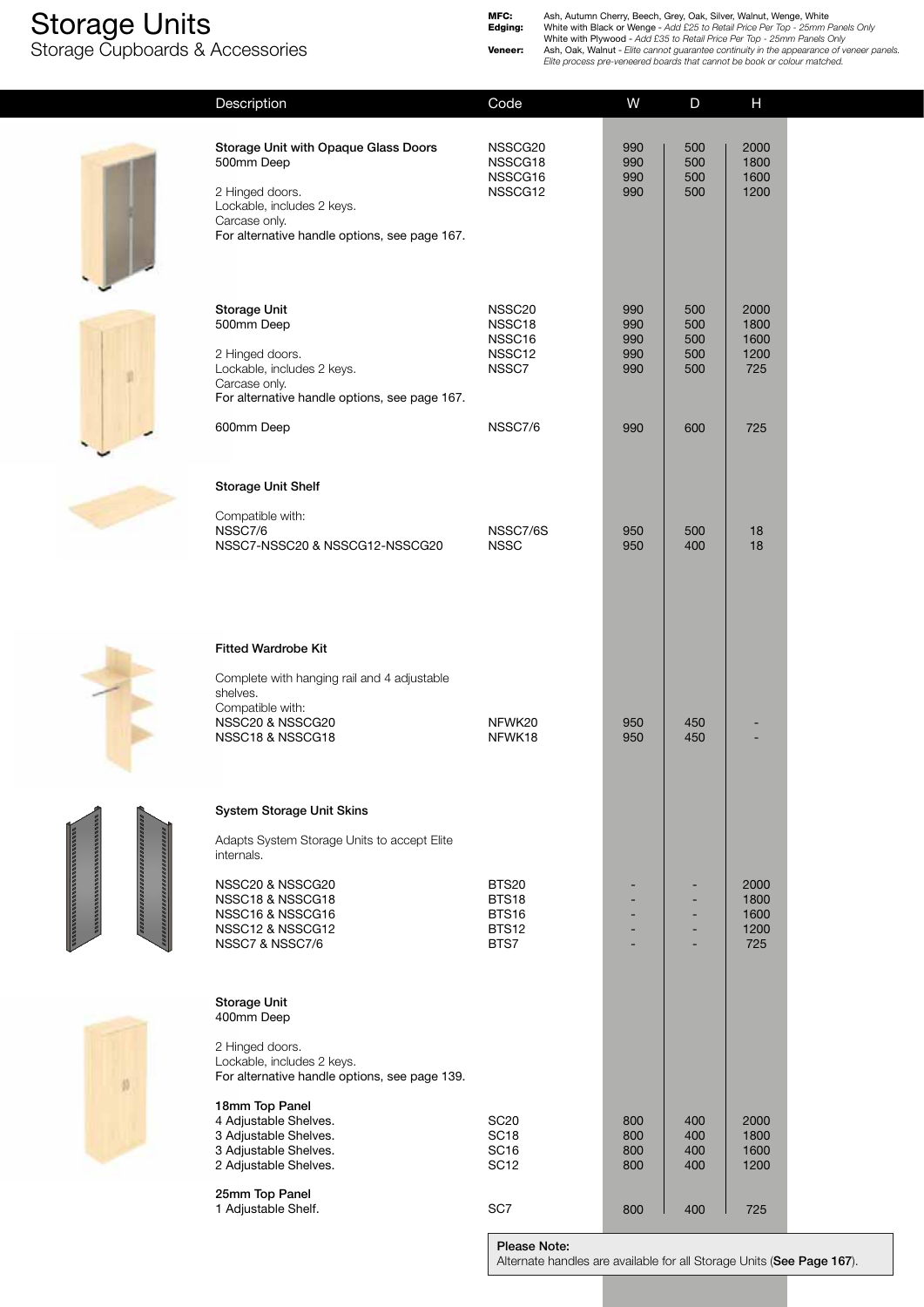Storage Cupboards & Accessories

**MFC:** Ash, Autumn Cherry, Beech, Grey, Oak, Silver, Walnut, Wenge, White<br> **Edging:** White with Black or Wenge - Add £25 to Retail Price Per Top - 25mm Panels Only<br>
White with Plywood - Add £35 to Retail Price Per Top - 25

|          | Description                                                                                                                                                                                                                                               | Code                                                               | W                               | D                               | H                                          |  |
|----------|-----------------------------------------------------------------------------------------------------------------------------------------------------------------------------------------------------------------------------------------------------------|--------------------------------------------------------------------|---------------------------------|---------------------------------|--------------------------------------------|--|
|          | <b>Storage Unit with Opaque Glass Doors</b><br>500mm Deep<br>2 Hinged doors.<br>Lockable, includes 2 keys.<br>Carcase only.<br>For alternative handle options, see page 167.                                                                              | NSSCG20<br>NSSCG18<br>NSSCG16<br>NSSCG12                           | 990<br>990<br>990<br>990        | 500<br>500<br>500<br>500        | 2000<br>1800<br>1600<br>1200               |  |
|          | <b>Storage Unit</b><br>500mm Deep<br>2 Hinged doors.<br>Lockable, includes 2 keys.<br>Carcase only.<br>For alternative handle options, see page 167.<br>600mm Deep                                                                                        | NSSC20<br>NSSC18<br>NSSC16<br>NSSC12<br>NSSC7<br>NSSC7/6           | 990<br>990<br>990<br>990<br>990 | 500<br>500<br>500<br>500<br>500 | 2000<br>1800<br>1600<br>1200<br>725<br>725 |  |
|          | <b>Storage Unit Shelf</b><br>Compatible with:<br>NSSC7/6<br>NSSC7-NSSC20 & NSSCG12-NSSCG20                                                                                                                                                                | NSSC7/6S<br><b>NSSC</b>                                            | 990<br>950<br>950               | 600<br>500<br>400               | 18<br>18                                   |  |
|          | <b>Fitted Wardrobe Kit</b><br>Complete with hanging rail and 4 adjustable<br>shelves.<br>Compatible with:<br>NSSC20 & NSSCG20<br>NSSC18 & NSSCG18                                                                                                         | NFWK20<br>NFWK18                                                   | 950<br>950                      | 450<br>450                      |                                            |  |
|          | <b>System Storage Unit Skins</b><br>Adapts System Storage Units to accept Elite<br>internals.<br>NSSC20 & NSSCG20<br>NSSC18 & NSSCG18<br>NSSC16 & NSSCG16<br>NSSC12 & NSSCG12<br>NSSC7 & NSSC7/6                                                          | <b>BTS20</b><br><b>BTS18</b><br>BTS16<br><b>BTS12</b><br>BTS7      |                                 | ٠<br>٠                          | 2000<br>1800<br>1600<br>1200<br>725        |  |
| $^{(1)}$ | <b>Storage Unit</b><br>400mm Deep<br>2 Hinged doors.<br>Lockable, includes 2 keys.<br>For alternative handle options, see page 139.<br>18mm Top Panel<br>4 Adjustable Shelves.<br>3 Adjustable Shelves.<br>3 Adjustable Shelves.<br>2 Adjustable Shelves. | <b>SC20</b><br>SC <sub>18</sub><br>SC <sub>16</sub><br><b>SC12</b> | 800<br>800<br>800<br>800        | 400<br>400<br>400<br>400        | 2000<br>1800<br>1600<br>1200               |  |
|          | 25mm Top Panel<br>1 Adjustable Shelf.                                                                                                                                                                                                                     | SC7                                                                | 800                             | 400                             | 725                                        |  |

**Please Note:**

Alternate handles are available for all Storage Units (**See Page 167**).